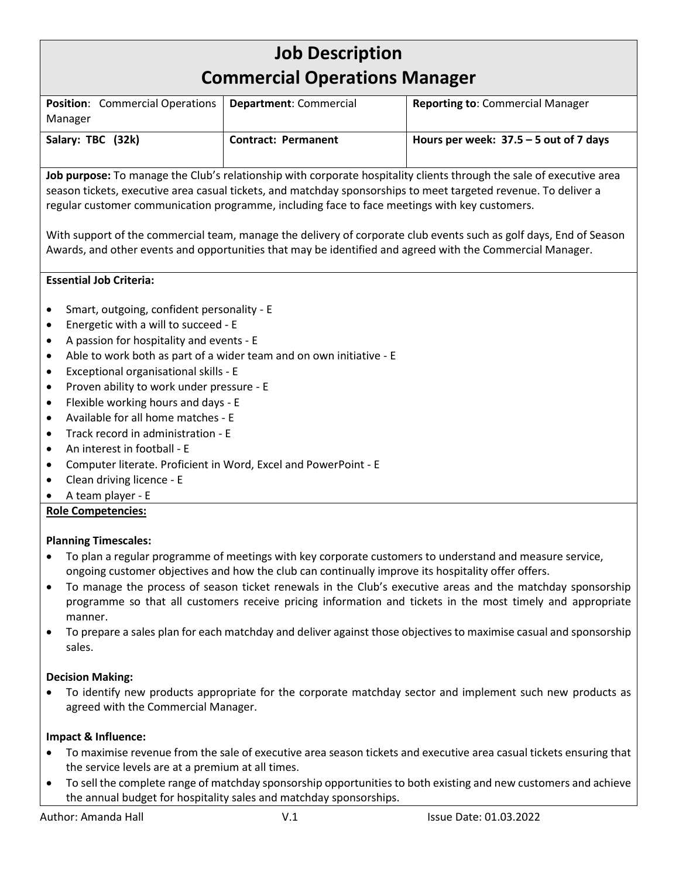# **Job Description Commercial Operations Manager Position**: Commercial Operations Manager **Department**: Commercial **Reporting to**: Commercial Manager **Salary: TBC (32k) Contract: Permanent Hours per week: 37.5 – 5 out of 7 days Job purpose:** To manage the Club's relationship with corporate hospitality clients through the sale of executive area season tickets, executive area casual tickets, and matchday sponsorships to meet targeted revenue. To deliver a regular customer communication programme, including face to face meetings with key customers. With support of the commercial team, manage the delivery of corporate club events such as golf days, End of Season Awards, and other events and opportunities that may be identified and agreed with the Commercial Manager. **Essential Job Criteria:** • Smart, outgoing, confident personality - E • Energetic with a will to succeed - E • A passion for hospitality and events - E • Able to work both as part of a wider team and on own initiative - E • Exceptional organisational skills - E • Proven ability to work under pressure - E • Flexible working hours and days - E • Available for all home matches - E • Track record in administration - E • An interest in football - E • Computer literate. Proficient in Word, Excel and PowerPoint - E • Clean driving licence - E • A team player - E **Role Competencies: Planning Timescales:** • To plan a regular programme of meetings with key corporate customers to understand and measure service, ongoing customer objectives and how the club can continually improve its hospitality offer offers. • To manage the process of season ticket renewals in the Club's executive areas and the matchday sponsorship programme so that all customers receive pricing information and tickets in the most timely and appropriate manner. • To prepare a sales plan for each matchday and deliver against those objectives to maximise casual and sponsorship sales.

## **Decision Making:**

• To identify new products appropriate for the corporate matchday sector and implement such new products as agreed with the Commercial Manager.

### **Impact & Influence:**

- To maximise revenue from the sale of executive area season tickets and executive area casual tickets ensuring that the service levels are at a premium at all times.
- To sell the complete range of matchday sponsorship opportunities to both existing and new customers and achieve the annual budget for hospitality sales and matchday sponsorships.